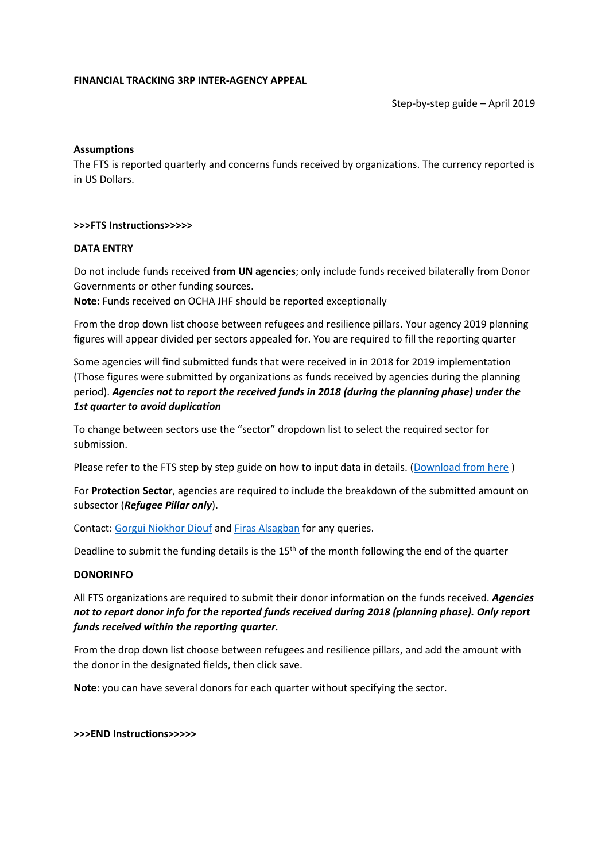#### **FINANCIAL TRACKING 3RP INTER-AGENCY APPEAL**

Step-by-step guide – April 2019

# **Assumptions**

The FTS is reported quarterly and concerns funds received by organizations. The currency reported is in US Dollars.

#### **>>>FTS Instructions>>>>>**

#### **DATA ENTRY**

Do not include funds received **from UN agencies**; only include funds received bilaterally from Donor Governments or other funding sources.

**Note**: Funds received on OCHA JHF should be reported exceptionally

From the drop down list choose between refugees and resilience pillars. Your agency 2019 planning figures will appear divided per sectors appealed for. You are required to fill the reporting quarter

Some agencies will find submitted funds that were received in in 2018 for 2019 implementation (Those figures were submitted by organizations as funds received by agencies during the planning period). *Agencies not to report the received funds in 2018 (during the planning phase) under the 1st quarter to avoid duplication*

To change between sectors use the "sector" dropdown list to select the required sector for submission.

Please refer to the FTS step by step guide on how to input data in details. [\(Download from here](https://data2.unhcr.org/en/documents/details/65991) )

For **Protection Sector**, agencies are required to include the breakdown of the submitted amount on subsector (*Refugee Pillar only*).

Contact: [Gorgui Niokhor Diouf](mailto:dioufg@unhcr.org) and [Firas Alsagban](mailto:alsagban@unhcr.org) for any queries.

Deadline to submit the funding details is the  $15<sup>th</sup>$  of the month following the end of the quarter

## **DONORINFO**

All FTS organizations are required to submit their donor information on the funds received. *Agencies not to report donor info for the reported funds received during 2018 (planning phase). Only report funds received within the reporting quarter.*

From the drop down list choose between refugees and resilience pillars, and add the amount with the donor in the designated fields, then click save.

**Note**: you can have several donors for each quarter without specifying the sector.

#### **>>>END Instructions>>>>>**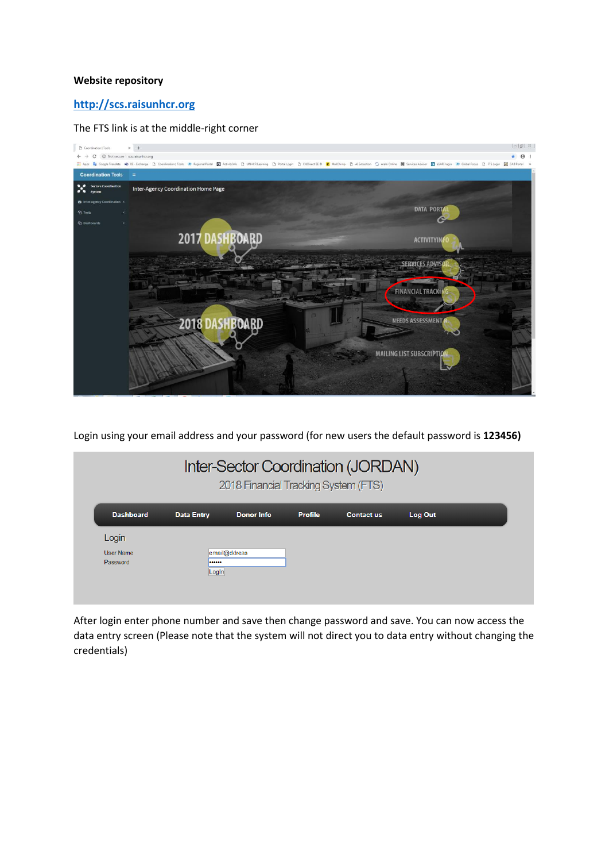#### **Website repository**

# **[http://scs.raisunhcr.org](http://scs.raisunhcr.org/)**

#### The FTS link is at the middle-right corner



Login using your email address and your password (for new users the default password is **123456)**

| Inter-Sector Coordination (JORDAN)<br>2018 Financial Tracking System (FTS) |                   |                   |                |                   |         |  |
|----------------------------------------------------------------------------|-------------------|-------------------|----------------|-------------------|---------|--|
| <b>Dashboard</b>                                                           | <b>Data Entry</b> | <b>Donor Info</b> | <b>Profile</b> | <b>Contact us</b> | Log Out |  |
| Login<br>User Name<br>Password                                             | <br>LogIn         | email@ddress      |                |                   |         |  |

After login enter phone number and save then change password and save. You can now access the data entry screen (Please note that the system will not direct you to data entry without changing the credentials)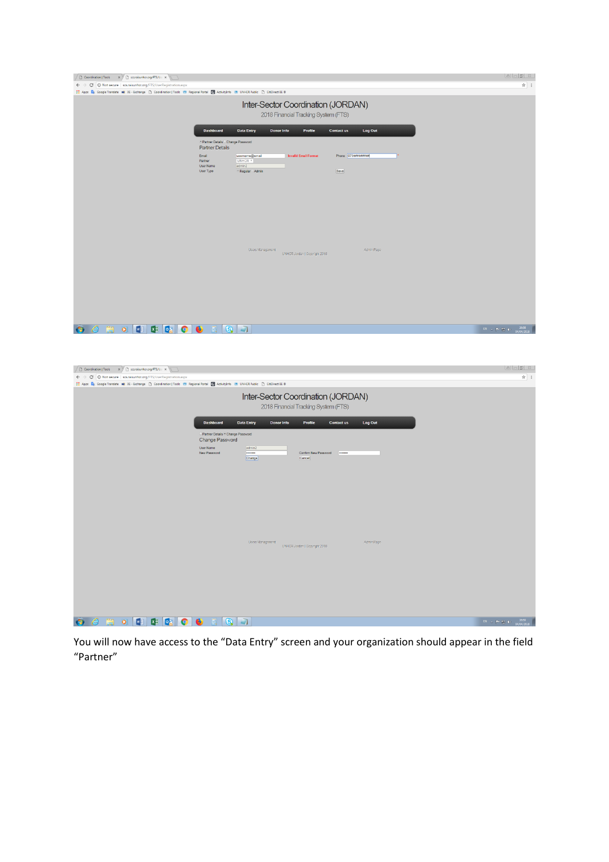| Coordination   Tools x   scsraisunhcr.org/FTS/Us x                                                                                            |                                                                                    |                                                                            |                    |
|-----------------------------------------------------------------------------------------------------------------------------------------------|------------------------------------------------------------------------------------|----------------------------------------------------------------------------|--------------------|
| ← → C   10 Not secure   scs.raisunhcr.org/FTS/UserRegistration.aspx                                                                           |                                                                                    |                                                                            | ☆ :                |
| Apps De Google Translate xe) XE - Exchange [ ] Coordination   Tools (0) Regional Portal [ ] ActivityInfo (0) UNHCR Public [ ] CitiDirect BE ® |                                                                                    |                                                                            |                    |
|                                                                                                                                               |                                                                                    | Inter-Sector Coordination (JORDAN)<br>2018 Financial Tracking System (FTS) |                    |
|                                                                                                                                               | <b>Dashboard</b><br><b>Data Entry</b>                                              | Log Out<br><b>Donor Info</b><br>Profile<br><b>Contact us</b>               |                    |
|                                                                                                                                               | · Partner Details Change Password<br><b>Partner Details</b>                        |                                                                            |                    |
|                                                                                                                                               | Email<br>username@email<br>UNHCR <b>v</b><br>Partner<br>admin2<br><b>User Name</b> | Phone 079########<br><b>Invalid Email Format</b>                           |                    |
|                                                                                                                                               | User Type<br>* Regular Admin                                                       | Save                                                                       |                    |
|                                                                                                                                               |                                                                                    |                                                                            |                    |
|                                                                                                                                               | Users Management                                                                   | Admin Page                                                                 |                    |
|                                                                                                                                               |                                                                                    | UNHCR Jordan   Copyright 2018                                              |                    |
|                                                                                                                                               |                                                                                    |                                                                            |                    |
|                                                                                                                                               |                                                                                    |                                                                            |                    |
|                                                                                                                                               |                                                                                    |                                                                            |                    |
|                                                                                                                                               |                                                                                    |                                                                            |                    |
| <b>XII</b> D <sub>2</sub><br>$\mathbf{w}$<br>$\bullet$<br>O                                                                                   | $\bullet$<br>$\Box$<br>Q                                                           |                                                                            | EN - P - D + 16:58 |

| ◯ Coordination   Tools × ) © scs.raisunhcr.org/FTS/Us ×                                                                                           |                                                                                                       |                          |
|---------------------------------------------------------------------------------------------------------------------------------------------------|-------------------------------------------------------------------------------------------------------|--------------------------|
| $\leftarrow$ $\rightarrow$ C $\circ$ Not secure   scs.raisunhcr.org/FTS/UserRegistration.aspx                                                     |                                                                                                       | ☆ :                      |
| [1] Apps Dx Google Translate xe) XE - Exchange [1] Coordination   Tools (8) Regional Portal [4] ActivityInfo (8) UNHCR Public [1] CitiDirect BE ® |                                                                                                       |                          |
|                                                                                                                                                   | Inter-Sector Coordination (JORDAN)<br>2018 Financial Tracking System (FTS)                            |                          |
|                                                                                                                                                   | <b>Dashboard</b><br><b>Data Entry</b><br>Profile<br>Log Out<br><b>Donor Info</b><br><b>Contact us</b> |                          |
|                                                                                                                                                   | Partner Details . Change Password<br>Change Password                                                  |                          |
|                                                                                                                                                   | User Name<br>admin2<br>New Password<br>Confirm New Password<br>-------<br>-------<br>Cancel           |                          |
|                                                                                                                                                   | Change                                                                                                |                          |
|                                                                                                                                                   |                                                                                                       |                          |
|                                                                                                                                                   |                                                                                                       |                          |
|                                                                                                                                                   |                                                                                                       |                          |
|                                                                                                                                                   |                                                                                                       |                          |
|                                                                                                                                                   |                                                                                                       |                          |
|                                                                                                                                                   | Users Management<br>Admin Page<br>UNHCR Jordan   Copyright 2018                                       |                          |
|                                                                                                                                                   |                                                                                                       |                          |
|                                                                                                                                                   |                                                                                                       |                          |
|                                                                                                                                                   |                                                                                                       |                          |
|                                                                                                                                                   |                                                                                                       |                          |
|                                                                                                                                                   |                                                                                                       |                          |
| $\blacksquare$<br><b>Kill</b> og l<br>$\bullet$<br>O                                                                                              | $\mathbf{G}$ $\mathbf{J}$<br>$\bullet$                                                                | $EN = 16.59$ (a/04/2018) |

You will now have access to the "Data Entry" screen and your organization should appear in the field "Partner"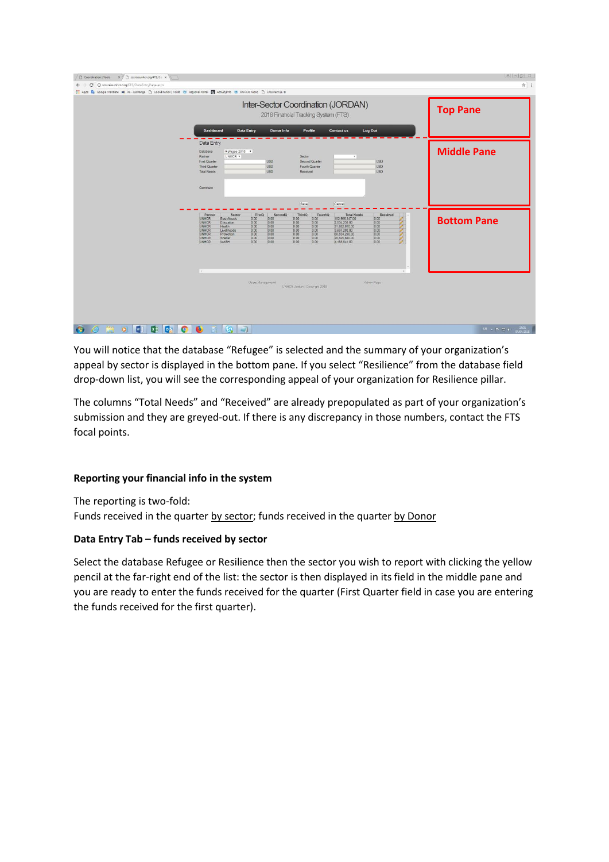| Coordination   Tools x   D scsraisunhcr.org/FTS/D x                                                                                   |                                                                                                                                                                                                                                                                                                                                                                                                                                                                                                                                                                                                                                                                                                                                              | 8 6 5 3            |
|---------------------------------------------------------------------------------------------------------------------------------------|----------------------------------------------------------------------------------------------------------------------------------------------------------------------------------------------------------------------------------------------------------------------------------------------------------------------------------------------------------------------------------------------------------------------------------------------------------------------------------------------------------------------------------------------------------------------------------------------------------------------------------------------------------------------------------------------------------------------------------------------|--------------------|
| C C scs.raisunhcr.org/FTS/DataEntryPage.aspx<br>$\leftarrow$ $\rightarrow$                                                            |                                                                                                                                                                                                                                                                                                                                                                                                                                                                                                                                                                                                                                                                                                                                              | ☆ :                |
| Apps De Google Translate xe XE - Exchange   Coordination   Tools (R) Regional Portal   ActivityInfo (R) UNHCR Public   CitDirect BE B |                                                                                                                                                                                                                                                                                                                                                                                                                                                                                                                                                                                                                                                                                                                                              |                    |
|                                                                                                                                       | Inter-Sector Coordination (JORDAN)<br>2018 Financial Tracking System (FTS)                                                                                                                                                                                                                                                                                                                                                                                                                                                                                                                                                                                                                                                                   | <b>Top Pane</b>    |
|                                                                                                                                       | Dashboard<br>Log Out<br><b>Data Entry</b><br>Donor Info<br>Profile<br>Contact us                                                                                                                                                                                                                                                                                                                                                                                                                                                                                                                                                                                                                                                             |                    |
|                                                                                                                                       | Data Entry                                                                                                                                                                                                                                                                                                                                                                                                                                                                                                                                                                                                                                                                                                                                   |                    |
|                                                                                                                                       | Refugee 2018 .<br>Database<br>UNHCR *<br>Sector<br>$\mathbf{v}$<br>Partner<br><b>USD</b><br>Second Quarter<br>USD <sub>1</sub><br>First Quarter<br>USD<br>Fourth Quarter<br>USD<br>Third Quarter<br><b>USD</b><br>Received<br>USD<br><b>Total Needs</b>                                                                                                                                                                                                                                                                                                                                                                                                                                                                                      | <b>Middle Pane</b> |
|                                                                                                                                       | Comment<br>Save<br>Cancel                                                                                                                                                                                                                                                                                                                                                                                                                                                                                                                                                                                                                                                                                                                    |                    |
|                                                                                                                                       | Partner<br>FirstQ<br>ThirdQ<br><b>Total Needs</b><br>Received<br>SecondQ<br>FourthQ<br>Sector<br><b>POST</b><br><b>UNHCR</b><br>102.966.347.00<br><b>BasicNeeds</b><br>0.00<br>0.00<br>0.00<br>0.00<br>0.00<br><b>UNHCR</b><br>0.00<br>0.00<br>0.00<br>0.00<br>2.634 232 00<br>0.00<br>Education<br>0.00<br>0.00<br>0.00<br>0.00<br>0.00<br>31,852,810.00<br><b>UNHCR</b><br>Health<br>0.00<br>0.00<br>0.00<br>0.00<br>0.00<br>3.697.282.00<br><b>UNHCR</b><br>Livelihoods<br>0.00<br>0.00<br>0.00<br>0.00<br>0.00<br>60,834,290.00<br><b>UNHCR</b><br>Protection<br>0.00<br>0.00<br>0.00<br>0.00<br>20.825.840.00<br><b>UNHCR</b><br>0.00<br>Shelter<br>0.00<br>0.00<br>0.00<br>0.00<br>0.00<br>4,168,841.00<br><b>UNHCR</b><br><b>WASH</b> | <b>Bottom Pane</b> |
|                                                                                                                                       | $\mathcal{A}$<br>Users Management<br>Admin Page<br>UNHCR Jordan   Copyright 2018                                                                                                                                                                                                                                                                                                                                                                                                                                                                                                                                                                                                                                                             |                    |
| W<br><b>xill</b> og<br>G<br>$\bullet$<br>æ<br>$\bullet$                                                                               | $\bullet$<br>$\overline{ }$<br>G.                                                                                                                                                                                                                                                                                                                                                                                                                                                                                                                                                                                                                                                                                                            | EN - P - D + 17.01 |

You will notice that the database "Refugee" is selected and the summary of your organization's appeal by sector is displayed in the bottom pane. If you select "Resilience" from the database field drop-down list, you will see the corresponding appeal of your organization for Resilience pillar.

The columns "Total Needs" and "Received" are already prepopulated as part of your organization's submission and they are greyed-out. If there is any discrepancy in those numbers, contact the FTS focal points.

# **Reporting your financial info in the system**

The reporting is two-fold: Funds received in the quarter by sector; funds received in the quarter by Donor

## **Data Entry Tab – funds received by sector**

Select the database Refugee or Resilience then the sector you wish to report with clicking the yellow pencil at the far-right end of the list: the sector is then displayed in its field in the middle pane and you are ready to enter the funds received for the quarter (First Quarter field in case you are entering the funds received for the first quarter).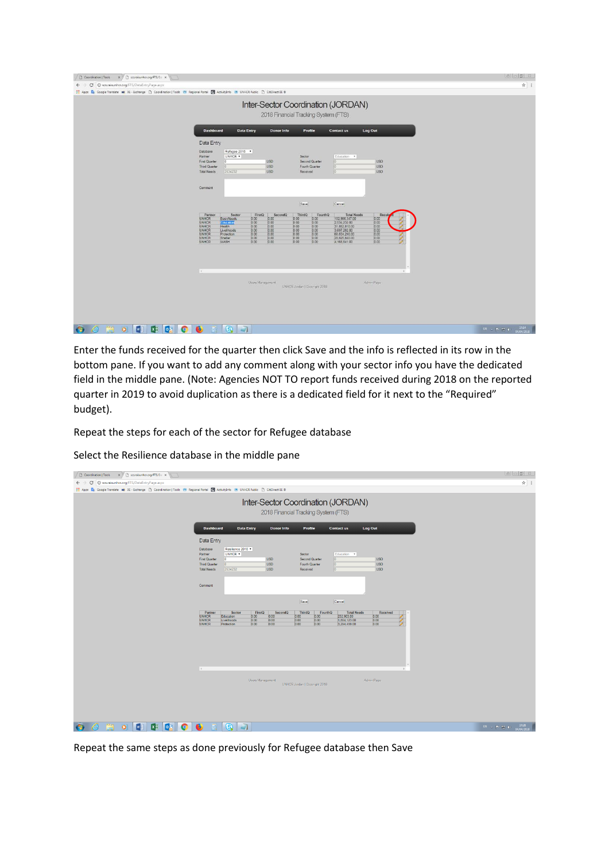| Coordination   Tools X   scs.raisunhcr.org/FTS/D: X                                                                                         |                                                                                                                                                                                                                                                                                          |                                                                                                                                                                                                      |                                                                                                                                                                                                           | <b>A B</b> 3           |
|---------------------------------------------------------------------------------------------------------------------------------------------|------------------------------------------------------------------------------------------------------------------------------------------------------------------------------------------------------------------------------------------------------------------------------------------|------------------------------------------------------------------------------------------------------------------------------------------------------------------------------------------------------|-----------------------------------------------------------------------------------------------------------------------------------------------------------------------------------------------------------|------------------------|
| ← → C © scs.raisunhcr.org/FTS/DataEntryPage.aspx                                                                                            |                                                                                                                                                                                                                                                                                          |                                                                                                                                                                                                      |                                                                                                                                                                                                           | ☆ :                    |
| Apps De Google Translate xe XE - Exchange [1] Coordination   Tools (8) Regional Portal [4] ActivityInfo (8) UNHCR Public [1] CitDirect BE B |                                                                                                                                                                                                                                                                                          |                                                                                                                                                                                                      |                                                                                                                                                                                                           |                        |
|                                                                                                                                             |                                                                                                                                                                                                                                                                                          | Inter-Sector Coordination (JORDAN)<br>2018 Financial Tracking System (FTS)                                                                                                                           |                                                                                                                                                                                                           |                        |
|                                                                                                                                             | Dashboard<br><b>Data Entry</b>                                                                                                                                                                                                                                                           | Donor Info<br>Profile                                                                                                                                                                                | Log Out<br>Contact us                                                                                                                                                                                     |                        |
|                                                                                                                                             | Data Entry<br>Refugee 2018 .<br>Database<br>UNHCR .<br>Partner<br>First Quarter<br>$\Omega$<br>Third Quarter<br>2534232<br><b>Total Needs</b>                                                                                                                                            | Sector<br><b>USD</b><br>Second Quarter<br>USD<br>Fourth Quarter<br><b>USD</b><br>Received                                                                                                            | Education .<br>ß<br>USD<br>USD<br>10<br>10<br>USD                                                                                                                                                         |                        |
|                                                                                                                                             | Comment                                                                                                                                                                                                                                                                                  | Save                                                                                                                                                                                                 | Cancel                                                                                                                                                                                                    |                        |
|                                                                                                                                             | Partner<br>FirstQ<br>Sector<br><b>UNHCR</b><br>0.00<br>BasicNeeds<br>Education<br>0.00<br><b>UNHCR</b><br><b>UNHCR</b><br>Health<br>0.00<br><b>UNHCR</b><br>Livelihoods<br>0.00<br>0.00<br><b>UNHCR</b><br>Protection<br>0.00<br><b>UNHCR</b><br>Shelter<br>WASH<br>0.00<br><b>UNHCR</b> | ThirdQ<br>FourthQ<br>SecondQ<br>0.00<br>0.00<br>0.00<br>0.00<br>0.00<br>0.00<br>0.00<br>0.00<br>0.00<br>0.00<br>0.00<br>0.00<br>0.00<br>0.00<br>0.00<br>0.00<br>0.00<br>0.00<br>0.00<br>0.00<br>0.00 | <b>Total Needs</b><br>Receiv<br>102,966,347.00<br>0.00<br>0.00<br>2.634 232 00<br>0.00<br>31,852,810.00<br>3.697.282.00<br>0.00<br>0.00<br>60.834.290.00<br>0.00<br>20,825,840.00<br>4,168,841.00<br>0.00 |                        |
|                                                                                                                                             | $4^{\circ}$<br>Users Management                                                                                                                                                                                                                                                          | UNHCR Jordan   Copyright 2018                                                                                                                                                                        | i si<br>Admin Page                                                                                                                                                                                        |                        |
| <b>M</b><br><b>DE</b><br>$x \Box$<br>$\bullet$<br>G                                                                                         | €<br>G,<br>$\overline{ }$                                                                                                                                                                                                                                                                |                                                                                                                                                                                                      |                                                                                                                                                                                                           | $EH = 12.4$ (MD4/2018) |

Enter the funds received for the quarter then click Save and the info is reflected in its row in the bottom pane. If you want to add any comment along with your sector info you have the dedicated field in the middle pane. (Note: Agencies NOT TO report funds received during 2018 on the reported quarter in 2019 to avoid duplication as there is a dedicated field for it next to the "Required" budget).

Repeat the steps for each of the sector for Refugee database

Select the Resilience database in the middle pane

| Coordination   Tools x   scs.raisunhcr.org/FTS/Da x                                                                                             |                                                                                                                                                                                                                                                                                                                                                                                                            |                                                                                  |
|-------------------------------------------------------------------------------------------------------------------------------------------------|------------------------------------------------------------------------------------------------------------------------------------------------------------------------------------------------------------------------------------------------------------------------------------------------------------------------------------------------------------------------------------------------------------|----------------------------------------------------------------------------------|
| $\leftarrow$ $\rightarrow$ C © scs.raisunhcr.org/FTS/DataEntryPage.aspx                                                                         |                                                                                                                                                                                                                                                                                                                                                                                                            | ☆ :                                                                              |
| [1] Apps De Google Translate xe) XE - Exchange [1] Coordination   Tools (8) Regional Portal T ActivityInfo (8) UNHCR Public [1] CitiDirect BE ® |                                                                                                                                                                                                                                                                                                                                                                                                            |                                                                                  |
|                                                                                                                                                 | Inter-Sector Coordination (JORDAN)<br>2018 Financial Tracking System (FTS)                                                                                                                                                                                                                                                                                                                                 |                                                                                  |
|                                                                                                                                                 | <b>Dashboard</b><br><b>Data Entry</b><br><b>Donor Info</b><br>Profile<br><b>Log Out</b><br><b>Contact us</b>                                                                                                                                                                                                                                                                                               |                                                                                  |
|                                                                                                                                                 | Data Entry<br>Resilience 2018<br>Database<br>UNHCR *<br>Partner<br>Sector<br>Education <b>v</b><br><b>First Quarter</b><br>$\overline{0}$<br><b>USD</b><br><b>Second Quarter</b><br><b>USD</b><br>10<br><b>USD</b><br>$\overline{0}$<br><b>USD</b><br><b>Third Quarter</b><br>$\overline{0}$<br>Fourth Quarter<br>2534232<br><b>USD</b><br>$\vert 0 \vert$<br><b>USD</b><br><b>Total Needs</b><br>Received |                                                                                  |
|                                                                                                                                                 | Comment<br>Save<br>Cancel                                                                                                                                                                                                                                                                                                                                                                                  |                                                                                  |
|                                                                                                                                                 | Partner<br>Sector<br>FirstQ<br>SecondQ<br>ThirdQ<br>FourthQ<br><b>Total Needs</b><br>Received<br>T<br><b>UNHCR</b><br>232,903.00<br>$\frac{0.00}{0.00}$<br>0.00<br>$\frac{0.00}{0.00}$<br>0.00000<br>$\frac{0.00}{0.00}$<br>Education<br>0.00<br>1,804,123.00<br><b>UNHCR</b><br>Livelihoods<br>0.00<br>0.00<br>0.00<br>0.00<br><b>UNHCR</b><br>Protection<br>0.00<br>3,294,499.00                         |                                                                                  |
|                                                                                                                                                 | ٠.<br>Users Management<br>Admin Page<br>UNHCR Jordan   Copyright 2018                                                                                                                                                                                                                                                                                                                                      |                                                                                  |
| $\sqrt{2}$<br>0.5<br>$\mathbf{x}$<br>$\bullet$<br>G                                                                                             | $\overline{a}$<br>€<br>Q                                                                                                                                                                                                                                                                                                                                                                                   | 17:26<br>04/04/2018<br>$\mathbb{R}^q \rightarrow \mathbb{R}^q \oplus \mathbb{C}$ |

Repeat the same steps as done previously for Refugee database then Save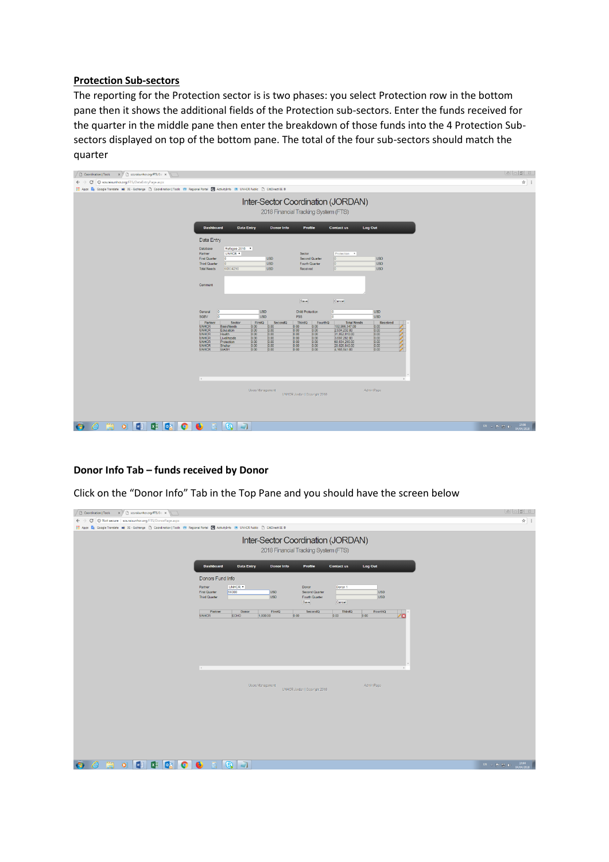#### **Protection Sub-sectors**

The reporting for the Protection sector is is two phases: you select Protection row in the bottom pane then it shows the additional fields of the Protection sub-sectors. Enter the funds received for the quarter in the middle pane then enter the breakdown of those funds into the 4 Protection Subsectors displayed on top of the bottom pane. The total of the four sub-sectors should match the quarter

| $\times$ $\times$ Scs.raisunhcr.org/FTS/Dat $\times$<br>Coordination   Tools<br>$\sqrt{1}$                                                                                                                                                                                                                                                                                                                                                                                                                                                                                                                                                                                                                                                         |                                                                                                         |
|----------------------------------------------------------------------------------------------------------------------------------------------------------------------------------------------------------------------------------------------------------------------------------------------------------------------------------------------------------------------------------------------------------------------------------------------------------------------------------------------------------------------------------------------------------------------------------------------------------------------------------------------------------------------------------------------------------------------------------------------------|---------------------------------------------------------------------------------------------------------|
| $\leftarrow$ $\rightarrow$ $\mathbf{C}$ $\circ$ oscs.raisunhcr.org/FTS/DataEntryPage.aspx                                                                                                                                                                                                                                                                                                                                                                                                                                                                                                                                                                                                                                                          | ☆ :                                                                                                     |
| Apps De Google Translate xe) XE - Exchange [1] Coordination   Tools (0) Regional Portal T ActivityInfo (0) UNHCR Public [1] CitiDirect BE ®                                                                                                                                                                                                                                                                                                                                                                                                                                                                                                                                                                                                        |                                                                                                         |
| Inter-Sector Coordination (JORDAN)<br>2018 Financial Tracking System (FTS)                                                                                                                                                                                                                                                                                                                                                                                                                                                                                                                                                                                                                                                                         |                                                                                                         |
| <b>Dashboard</b><br><b>Data Entry</b><br><b>Donor Info</b><br>Profile<br>Log Out<br><b>Contact us</b>                                                                                                                                                                                                                                                                                                                                                                                                                                                                                                                                                                                                                                              |                                                                                                         |
| Data Entry                                                                                                                                                                                                                                                                                                                                                                                                                                                                                                                                                                                                                                                                                                                                         |                                                                                                         |
| Refugee 2018 v<br>Database<br>UNHCR *<br>Sector<br>Protection <b>v</b><br>Partner<br>$\overline{0}$<br><b>Second Quarter</b><br><b>USD</b><br><b>First Quarter</b><br><b>USD</b><br>0<br><b>USD</b><br><b>USD</b><br><b>Third Quarter</b><br>$\sqrt{0}$<br>Fourth Quarter<br>0<br>$\overline{0}$<br>60834290<br><b>USD</b><br><b>USD</b><br><b>Total Needs</b><br>Received                                                                                                                                                                                                                                                                                                                                                                         |                                                                                                         |
| Comment<br>Save<br>Cancel                                                                                                                                                                                                                                                                                                                                                                                                                                                                                                                                                                                                                                                                                                                          |                                                                                                         |
| <b>USD</b><br>$\overline{0}$<br><b>USD</b><br><b>Child Protection</b><br>$\overline{0}$<br>General<br><b>USD</b><br><b>USD</b><br><b>SGBV</b><br>o<br><b>PSS</b><br><b>O</b>                                                                                                                                                                                                                                                                                                                                                                                                                                                                                                                                                                       |                                                                                                         |
| Partner<br>FirstQ<br>ThirdQ<br>FourthQ<br><b>Total Needs</b><br>Sector<br>Received<br>SecondQ<br>102,966,347.00<br><b>UNHCR</b><br><b>BasicNeeds</b><br>0.00<br>0.00<br>0.00<br>0.00<br>0.00<br>0.00<br>0.00<br>0.00<br>0.00<br>2,534,232.00<br>0.00<br><b>UNHCR</b><br>Education<br>0.00<br>0.00<br>0.00<br>0.00<br>31,852,810.00<br>0.00<br><b>UNHCR</b><br>Health<br>0.00<br><b>UNHCR</b><br> 0.00 <br>0.00<br>0.00<br>0.00<br>3,697,282.00<br>Livelihoods<br>0.00<br>0.00<br>0.00<br>0.00<br>0.00<br>60,834,290.00<br><b>UNHCR</b><br>Protection<br>0.00<br>0.00<br>0.00<br>0.00<br>0.00<br>20,825,840.00<br><b>UNHCR</b><br>Shelter<br>0.00<br>0.00<br><b>UNHCR</b><br><b>WASH</b><br> 0.00 <br>0.00<br>0.00<br>4,168,841.00<br>$\rightarrow$ |                                                                                                         |
| Admin Page<br>Users Management<br>UNHCR Jordan   Copyright 2018<br>$\overline{\phantom{a}}$<br>M<br><b>lo</b> z<br>€<br>$\mathbf{x}$<br>$\bullet$<br>G,<br>o                                                                                                                                                                                                                                                                                                                                                                                                                                                                                                                                                                                       | 17:56<br>04/04/2018<br>$\mathbb{E} \mathbb{N} \rightarrow \mathbb{P} \cdot \mathbb{S} \cdot \mathbb{O}$ |

## **Donor Info Tab – funds received by Donor**

Click on the "Donor Info" Tab in the Top Pane and you should have the screen below

| $\Box$ Coordination   Tools $x \vee \Box$ scs.raisunhcr.org/FTS/Do $x \searrow$                                                              |                                                                                                                                                                                                                                          |                      |
|----------------------------------------------------------------------------------------------------------------------------------------------|------------------------------------------------------------------------------------------------------------------------------------------------------------------------------------------------------------------------------------------|----------------------|
| $\leftarrow$ $\rightarrow$ $\mathbf{C}$   $\odot$ Not secure   scs.raisunhcr.org/FTS/DonorPage.aspx                                          |                                                                                                                                                                                                                                          | ☆ :                  |
| Apps ( Google Translate xe) XE - Exchange [ ] Coordination   Tools ( 1) Regional Portal ( ActivityInfo ( 1) UNHCR Public [ ] CitiDirect BE ® |                                                                                                                                                                                                                                          |                      |
|                                                                                                                                              | Inter-Sector Coordination (JORDAN)<br>2018 Financial Tracking System (FTS)                                                                                                                                                               |                      |
|                                                                                                                                              | <b>Dashboard</b><br>Log Out<br><b>Data Entry</b><br><b>Donor Info</b><br>Profile<br><b>Contact us</b>                                                                                                                                    |                      |
|                                                                                                                                              | Donors Fund Info<br>UNHCR *<br>Donor 1<br>Partner<br>Donor<br>56000<br><b>USD</b><br><b>First Quarter</b><br><b>Second Quarter</b><br><b>USD</b><br><b>USD</b><br><b>USD</b><br><b>Third Quarter</b><br>Fourth Quarter<br>Save<br>Cancel |                      |
|                                                                                                                                              | FirstQ<br>ThirdQ<br>Partner<br>Donor<br>SecondQ<br>FourthQ<br>0.00<br><b>UNHCR</b><br><b>ECHO</b><br>1,000.00<br>0.00<br>0.00<br>۸m                                                                                                      |                      |
|                                                                                                                                              |                                                                                                                                                                                                                                          |                      |
|                                                                                                                                              | $\sim$                                                                                                                                                                                                                                   |                      |
|                                                                                                                                              | Admin Page<br>Users Management<br>UNHCR Jordan   Copyright 2018                                                                                                                                                                          |                      |
|                                                                                                                                              |                                                                                                                                                                                                                                          |                      |
|                                                                                                                                              |                                                                                                                                                                                                                                          |                      |
|                                                                                                                                              |                                                                                                                                                                                                                                          |                      |
| fá<br><b>DE O</b><br>$\boxed{\mathbf{x}}$<br>$\bullet$<br>$\sqrt{2}$<br>e<br>- 39                                                            | $\mathbf{S}$ $\mathbf{A}$<br>$\bullet$                                                                                                                                                                                                   | $EN = P - 121 + 121$ |